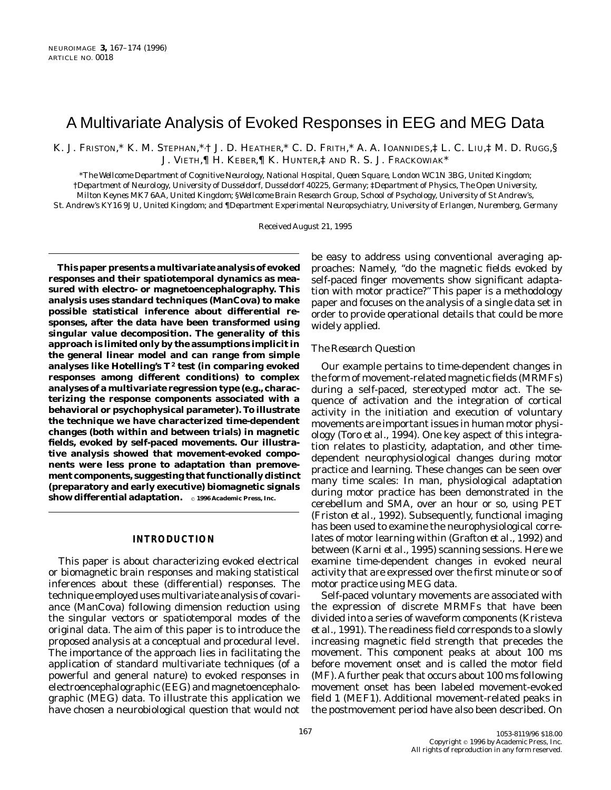# A Multivariate Analysis of Evoked Responses in EEG and MEG Data

K. J. Friston,\* K. M. Stephan,\*<sub>\*</sub>† J. D. Heather,\* C. D. Frith,\* A. A. Ioannides,‡ L. C. Liu,‡ M. D. Rugg,§ J. VIETH,¶ H. KEBER,¶ K. HUNTER,‡ AND R. S. J. FRACKOWIAK\*

\**The Wellcome Department of Cognitive Neurology, National Hospital, Queen Square, London WC1N 3BG, United Kingdom;*

†*Department of Neurology, University of Dusseldorf, Dusseldorf 40225, Germany;* ‡*Department of Physics, The Open University, Milton Keynes MK7 6AA, United Kingdom;* §*Wellcome Brain Research Group, School of Psychology, University of St Andrew's,*

*St. Andrew's KY16 9JU, United Kingdom; and* ¶*Department Experimental Neuropsychiatry, University of Erlangen, Nuremberg, Germany*

Received August 21, 1995

**This paper presents a multivariate analysis of evoked responses and their spatiotemporal dynamics as measured with electro- or magnetoencephalography. This analysis uses standard techniques (ManCova) to make possible statistical inference about differential responses, after the data have been transformed using singular value decomposition. The generality of this approach is limited only by the assumptions implicit in the general linear model and can range from simple analyses like Hotelling's** *T***<sup>2</sup> test (in comparing evoked responses among different conditions) to complex analyses of a multivariate regression type (e.g., characterizing the response components associated with a behavioral or psychophysical parameter). To illustrate the technique we have characterized time-dependent changes (both within and between trials) in magnetic fields, evoked by self-paced movements. Our illustrative analysis showed that movement-evoked components were less prone to adaptation than premovement components, suggesting that functionally distinct (preparatory and early executive) biomagnetic signals show differential adaptation. o 1996 Academic Press, Inc.** 

## **INTRODUCTION**

This paper is about characterizing evoked electrical or biomagnetic brain responses and making statistical inferences about these (differential) responses. The technique employed uses multivariate analysis of covariance (ManCova) following dimension reduction using the singular vectors or spatiotemporal modes of the original data. The aim of this paper is to introduce the proposed analysis at a conceptual and procedural level. The importance of the approach lies in facilitating the application of standard multivariate techniques (of a powerful and general nature) to evoked responses in electroencephalographic (EEG) and magnetoencephalographic (MEG) data. To illustrate this application we have chosen a neurobiological question that would not be easy to address using conventional averaging approaches: Namely, ''do the magnetic fields evoked by self-paced finger movements show significant adaptation with motor practice?'' This paper is a methodology paper and focuses on the analysis of a single data set in order to provide operational details that could be more widely applied.

# *The Research Question*

Our example pertains to time-dependent changes in the form of movement-related magnetic fields (MRMFs) during a self-paced, stereotyped motor act. The sequence of activation and the integration of cortical activity in the initiation and execution of voluntary movements are important issues in human motor physiology (Toro *et al.,* 1994). One key aspect of this integration relates to plasticity, adaptation, and other timedependent neurophysiological changes during motor practice and learning. These changes can be seen over many time scales: In man, physiological adaptation during motor practice has been demonstrated in the cerebellum and SMA, over an hour or so, using PET (Friston *et al.,* 1992). Subsequently, functional imaging has been used to examine the neurophysiological correlates of motor learning within (Grafton *et al.,* 1992) and between (Karni *et al.,* 1995) scanning sessions. Here we examine time-dependent changes in evoked neural activity that are expressed over the first minute or so of motor practice using MEG data.

Self-paced voluntary movements are associated with the expression of discrete MRMFs that have been divided into a series of waveform components (Kristeva *et al.,* 1991). The readiness field corresponds to a slowly increasing magnetic field strength that precedes the movement. This component peaks at about 100 ms before movement onset and is called the motor field (MF). A further peak that occurs about 100 ms following movement onset has been labeled movement-evoked field 1 (MEF1). Additional movement-related peaks in the postmovement period have also been described. On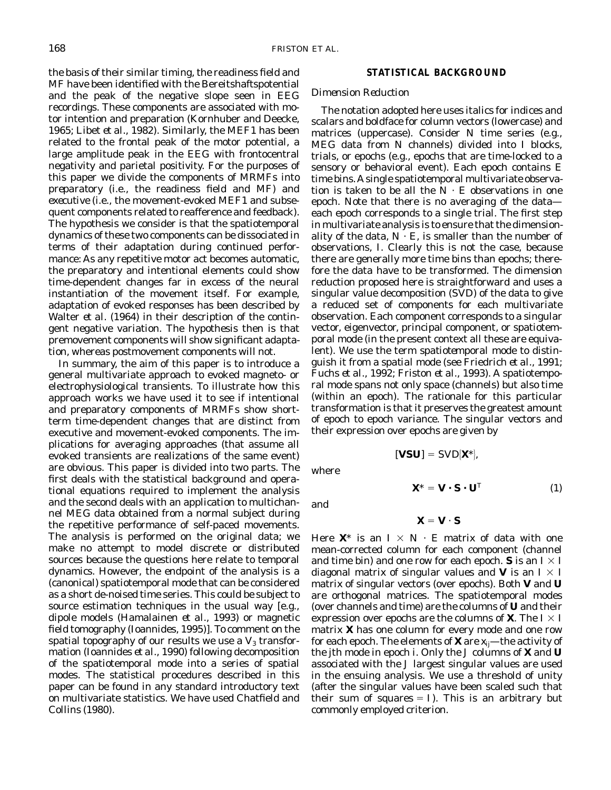the basis of their similar timing, the readiness field and MF have been identified with the Bereitshaftspotential and the peak of the negative slope seen in EEG recordings. These components are associated with motor intention and preparation (Kornhuber and Deecke, 1965; Libet *et al.,* 1982). Similarly, the MEF1 has been related to the frontal peak of the motor potential, a large amplitude peak in the EEG with frontocentral negativity and parietal positivity. For the purposes of this paper we divide the components of MRMFs into *preparatory* (i.e., the readiness field and MF) and *executive* (i.e., the movement-evoked MEF1 and subsequent components related to reafference and feedback). The hypothesis we consider is that the spatiotemporal dynamics of these two components can be dissociated in terms of their adaptation during continued performance: As any repetitive motor act becomes automatic, the preparatory and intentional elements could show time-dependent changes far in excess of the neural instantiation of the movement itself. For example, adaptation of evoked responses has been described by Walter *et al.* (1964) in their description of the contingent negative variation. The hypothesis then is that premovement components will show significant adaptation, whereas postmovement components will not.

In summary, the aim of this paper is to introduce a general multivariate approach to evoked magneto- or electrophysiological transients. To illustrate how this approach works we have used it to see if intentional and preparatory components of MRMFs show shortterm time-dependent changes that are distinct from executive and movement-evoked components. The implications for averaging approaches (that assume all evoked transients are realizations of the same event) are obvious. This paper is divided into two parts. The first deals with the statistical background and operational equations required to implement the analysis and the second deals with an application to multichannel MEG data obtained from a normal subject during the repetitive performance of self-paced movements. The analysis is performed on the original data; we make no attempt to model discrete or distributed sources because the questions here relate to temporal dynamics. However, the endpoint of the analysis is a (canonical) spatiotemporal mode that can be considered as a short de-noised time series. This could be subject to source estimation techniques in the usual way [e.g., dipole models (Hamalainen *et al.,* 1993) or magnetic field tomography (Ioannides, 1995)]. To comment on the spatial topography of our results we use a  $V_3$  transformation (Ioannides *et al.,* 1990) following decomposition of the spatiotemporal mode into a series of spatial modes. The statistical procedures described in this paper can be found in any standard introductory text on multivariate statistics. We have used Chatfield and Collins (1980).

#### **STATISTICAL BACKGROUND**

#### *Dimension Reduction*

The notation adopted here uses italics for indices and scalars and boldface for column vectors (lowercase) and matrices (uppercase). Consider *N* time series (e.g., MEG data from *N* channels) divided into *I* blocks, trials, or epochs (e.g., epochs that are time-locked to a sensory or behavioral event). Each epoch contains *E* time bins. A single spatiotemporal multivariate observation is taken to be all the  $N \cdot E$  observations in one epoch. Note that there is no averaging of the data each epoch corresponds to a single trial. The first step in multivariate analysis is to ensure that the dimensionality of the data,  $N \cdot E$ , is smaller than the number of observations, *I.* Clearly this is not the case, because there are generally more time bins than epochs; therefore the data have to be transformed. The dimension reduction proposed here is straightforward and uses a singular value decomposition (SVD) of the data to give a reduced set of components for each multivariate observation. Each component corresponds to a singular vector, eigenvector, principal component, or spatiotemporal mode (in the present context all these are equivalent). We use the term *spatiotemporal* mode to distinguish it from a *spatial* mode (see Friedrich *et al.,* 1991; Fuchs *et al.,* 1992; Friston *et al.,* 1993). A spatiotemporal mode spans not only space (channels) but also time (within an epoch). The rationale for this particular transformation is that it preserves the greatest amount of epoch to epoch variance. The singular vectors and their expression over epochs are given by

where

and

$$
\mathbf{X}^* = \mathbf{V} \cdot \mathbf{S} \cdot \mathbf{U}^{\mathrm{T}}
$$
 (1)

 $X = V \cdot S$ 

 $[$ **VSU** $]$  = SVD $[X^*]$ ,

Here  $X^*$  is an  $I \times N \cdot E$  matrix of data with one mean-corrected column for each component (channel and time bin) and one row for each epoch. **S** is an  $I \times I$ diagonal matrix of singular values and **V** is an  $I \times I$ matrix of singular vectors (over epochs). Both **V** and **U** are orthogonal matrices. The spatiotemporal modes (over channels and time) are the columns of **U** and their expression over epochs are the columns of **X**. The  $I \times I$ matrix **X** has one column for every mode and one row for each epoch. The elements of **X** are *xij*—the activity of the *j*th mode in epoch *i*. Only the *J* columns of **X** and **U** associated with the *J* largest singular values are used in the ensuing analysis. We use a threshold of unity (after the singular values have been scaled such that their sum of squares  $= I$ ). This is an arbitrary but commonly employed criterion.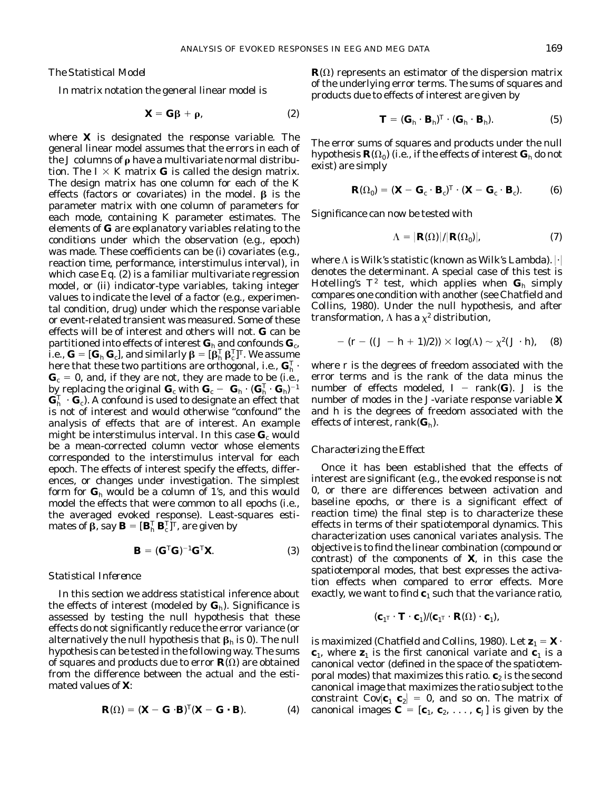### *The Statistical Model*

In matrix notation the general linear model is

$$
\mathbf{X} = \mathbf{G}\boldsymbol{\beta} + \boldsymbol{\rho}, \tag{2}
$$

where **X** is designated the *response* variable. The general linear model assumes that the errors in each of the  $J$  columns of  $\rho$  have a multivariate normal distribution. The  $I \times K$  matrix **G** is called the design matrix. The design matrix has one column for each of the *K* effects (factors or covariates) in the model.  $\beta$  is the parameter matrix with one column of parameters for each mode, containing *K* parameter estimates. The elements of **G** are *explanatory* variables relating to the conditions under which the observation (e.g., epoch) was made. These coefficients can be (i) covariates (e.g., reaction time, performance, interstimulus interval), in which case Eq. (2) is a familiar multivariate regression model, or (ii) indicator-type variables, taking integer values to indicate the level of a factor (e.g., experimental condition, drug) under which the response variable or event-related transient was measured. Some of these effects will be of interest and others will not. **G** can be partitioned into effects of interest  $\mathbf{G}_h$  and confounds  $\mathbf{G}_c$ , i.e.,  $G = [G_h G_c]$ , and similarly  $\beta = [\beta_h^T \beta_c^T]^T$ . We assume here that these two partitions are orthogonal, i.e.,  $\textbf{G}_{h}^\text{T}$   $\cdot$  $G_c = 0$ , and, if they are not, they are made to be (i.e., by replacing the original  $\mathbf{G}_{\mathrm{c}}$  with  $\mathbf{G}_{\mathrm{c}} - \mathbf{G}_{h} \cdot (\mathbf{G}_{h}^{\mathrm{T}} \cdot \mathbf{G}_{h})^{-1}$  $\bar{\mathbf{G}}_{h}^{\mathrm{T}}\,\cdot\mathbf{\bar{G}}_{\mathrm{c}}$ ). A confound is used to designate an effect that is not of interest and would otherwise ''confound'' the analysis of effects that are of interest. An example might be interstimulus interval. In this case  $\mathbf{G}_c$  would be a mean-corrected column vector whose elements corresponded to the interstimulus interval for each epoch. The effects of interest specify the effects, differences, or changes under investigation. The simplest form for **G***<sup>h</sup>* would be a column of 1's, and this would model the effects that were common to all epochs (i.e., the averaged evoked response). Least-squares estimates of  $\beta$ , say  $\mathbf{B} = [\mathbf{B}_h^T \mathbf{B}_c^T]^T$ , are given by

$$
\mathbf{B} = (\mathbf{G}^{\mathrm{T}}\mathbf{G})^{-1}\mathbf{G}^{\mathrm{T}}\mathbf{X}.
$$
 (3)

# *Statistical Inference*

In this section we address statistical inference about the effects of interest (modeled by **G***h*). Significance is assessed by testing the null hypothesis that these effects do not significantly reduce the error variance (or alternatively the null hypothesis that  $\beta_h$  is 0). The null hypothesis can be tested in the following way. The sums of squares and products due to error  $\mathbf{R}(\Omega)$  are obtained from the difference between the actual and the estimated values of **X**:

$$
\mathbf{R}(\Omega) = (\mathbf{X} - \mathbf{G} \cdot \mathbf{B})^{\mathrm{T}} (\mathbf{X} - \mathbf{G} \cdot \mathbf{B}). \tag{4}
$$

 $\mathbf{R}(\Omega)$  represents an estimator of the dispersion matrix of the underlying error terms. The sums of squares and products due to effects of interest are given by

$$
\mathbf{T} = (\mathbf{G}_h \cdot \mathbf{B}_h)^{\mathrm{T}} \cdot (\mathbf{G}_h \cdot \mathbf{B}_h).
$$
 (5)

The error sums of squares and products under the null hypothesis  $\mathbf{R}(\Omega_0)$  (i.e., if the effects of interest  $\mathbf{G}_h$  do not exist) are simply

$$
\mathbf{R}(\Omega_0) = (\mathbf{X} - \mathbf{G}_c \cdot \mathbf{B}_c)^T \cdot (\mathbf{X} - \mathbf{G}_c \cdot \mathbf{B}_c).
$$
 (6)

Significance can now be tested with

$$
\Lambda = |\mathbf{R}(\Omega)|/|\mathbf{R}(\Omega_0)|,\tag{7}
$$

where  $\Lambda$  is Wilk's statistic (known as Wilk's Lambda).  $|\cdot|$ denotes the determinant. A special case of this test is Hotelling's  $T^2$  test, which applies when  $\mathbf{G}_h$  simply compares one condition with another (see Chatfield and Collins, 1980). Under the null hypothesis, and after transformation,  $\Lambda$  has a  $\chi^2$  distribution,

$$
-(r-((J-h+1)/2)) \times \log(\Lambda) \sim \chi^2(J\cdot h), \quad (8)
$$

where *r* is the degrees of freedom associated with the error terms and is the rank of the data minus the number of effects modeled,  $I - \text{rank}(\mathbf{G})$ . *J* is the number of modes in the *J*-variate response variable **X** and *h* is the degrees of freedom associated with the effects of interest, rank(**G***h*).

#### *Characterizing the Effect*

Once it has been established that the effects of interest are significant (e.g., the evoked response is not 0, or there are differences between activation and baseline epochs, or there is a significant effect of reaction time) the final step is to characterize these effects in terms of their spatiotemporal dynamics. This characterization uses canonical variates analysis. The objective is to find the linear combination (compound or contrast) of the components of **X**, in this case the spatiotemporal modes, that best expresses the activation effects when compared to error effects. More exactly, we want to find  $c_1$  such that the variance ratio,

$$
(\mathbf{c}_{1^T} \cdot \mathbf{T} \cdot \mathbf{c}_1) / (\mathbf{c}_{1^T} \cdot \mathbf{R}(\Omega) \cdot \mathbf{c}_1),
$$

is maximized (Chatfield and Collins, 1980). Let  $z_1 = X$   $\cdot$  $c_1$ , where  $z_1$  is the first canonical variate and  $c_1$  is a canonical vector (defined in the space of the spatiotemporal modes) that maximizes this ratio.  $\mathbf{c}_2$  is the second canonical image that maximizes the ratio subject to the constraint Cov $\left[\mathbf{c}_1 \ \mathbf{c}_2\right] = 0$ , and so on. The matrix of canonical images  $C = [c_1, c_2, \ldots, c_J]$  is given by the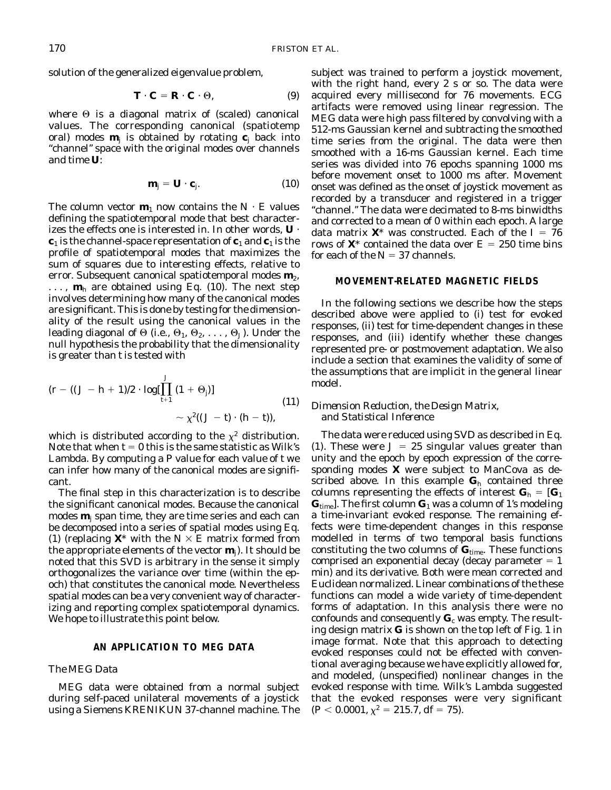solution of the generalized eigenvalue problem,

$$
\mathbf{T} \cdot \mathbf{C} = \mathbf{R} \cdot \mathbf{C} \cdot \Theta, \tag{9}
$$

where  $\Theta$  is a diagonal matrix of (scaled) canonical values. The corresponding canonical (spatiotemp oral) modes  $\mathbf{m}_i$  is obtained by rotating  $\mathbf{c}_i$  back into ''channel'' space with the original modes over channels and time **U**:

$$
\mathbf{m}_j = \mathbf{U} \cdot \mathbf{c}_j. \tag{10}
$$

The column vector  $\mathbf{m}_1$  now contains the  $N \cdot E$  values defining the spatiotemporal mode that best characterizes the effects one is interested in. In other words, **U** ·  $c_1$  is the channel-space representation of  $c_1$  and  $c_1$  is the profile of spatiotemporal modes that maximizes the sum of squares due to interesting effects, relative to error. Subsequent canonical spatiotemporal modes **m**2,  $\ldots$ , **m**<sub>*h*</sub> are obtained using Eq. (10). The next step involves determining how many of the canonical modes are significant. This is done by testing for the dimensionality of the result using the canonical values in the leading diagonal of  $\Theta$  (i.e.,  $\Theta_1$ ,  $\Theta_2$ , ...,  $\Theta_J$ ). Under the null hypothesis the probability that the dimensionality is greater than *t* is tested with

$$
(r - ((J - h + 1)/2 \cdot \log[\prod_{t+1}^{J} (1 + \Theta_j)] - \chi^2((J - t) \cdot (h - t)),
$$
\n(11)

which is distributed according to the  $\chi^2$  distribution. Note that when  $t = 0$  this is the same statistic as Wilk's Lambda. By computing a *P* value for each value of *t* we can infer how many of the canonical modes are significant.

The final step in this characterization is to describe the significant canonical modes. Because the canonical modes **m***<sup>j</sup>* span time, they are time series and each can be decomposed into a series of spatial modes using Eq. (1) (replacing  $X^*$  with the  $N \times E$  matrix formed from the appropriate elements of the vector **m***j*). It should be noted that this SVD is arbitrary in the sense it simply orthogonalizes the variance over time (within the epoch) that constitutes the canonical mode. Nevertheless spatial modes can be a very convenient way of characterizing and reporting complex spatiotemporal dynamics. We hope to illustrate this point below.

### **AN APPLICATION TO MEG DATA**

# *The MEG Data*

MEG data were obtained from a normal subject during self-paced unilateral movements of a joystick using a Siemens KRENIKUN 37-channel machine. The

subject was trained to perform a joystick movement, with the right hand, every 2 s or so. The data were acquired every millisecond for 76 movements. ECG artifacts were removed using linear regression. The MEG data were high pass filtered by convolving with a 512-ms Gaussian kernel and subtracting the smoothed time series from the original. The data were then smoothed with a 16-ms Gaussian kernel. Each time series was divided into 76 epochs spanning 1000 ms before movement onset to 1000 ms after. Movement onset was defined as the onset of joystick movement as recorded by a transducer and registered in a trigger "channel." The data were decimated to 8-ms binwidths and corrected to a mean of 0 within each epoch. A large data matrix  $X^*$  was constructed. Each of the  $I = 76$ rows of  $X^*$  contained the data over  $E = 250$  time bins for each of the  $N = 37$  channels.

#### **MOVEMENT-RELATED MAGNETIC FIELDS**

In the following sections we describe how the steps described above were applied to (i) test for evoked responses, (ii) test for time-dependent changes in these responses, and (iii) identify whether these changes represented pre- or postmovement adaptation. We also include a section that examines the validity of some of the assumptions that are implicit in the general linear model.

## *Dimension Reduction, the Design Matrix, and Statistical Inference*

The data were reduced using SVD as described in Eq. (1). These were  $J = 25$  singular values greater than unity and the epoch by epoch expression of the corresponding modes **X** were subject to ManCova as described above. In this example  $\mathbf{G}_h$  contained three columns representing the effects of interest  $G_h = [G_1]$  $\mathbf{G}_{time}$ ]. The first column  $\mathbf{G}_1$  was a column of 1's modeling a time-invariant evoked response. The remaining effects were time-dependent changes in this response modelled in terms of two temporal basis functions constituting the two columns of  $\mathbf{G}_{time}$ . These functions comprised an exponential decay (decay parameter  $= 1$ ) min) and its derivative. Both were mean corrected and Euclidean normalized. Linear combinations of the these functions can model a wide variety of time-dependent forms of adaptation. In this analysis there were no confounds and consequently  $G_c$  was empty. The resulting design matrix **G** is shown on the top left of Fig. 1 in image format. Note that this approach to detecting evoked responses could not be effected with conventional averaging because we have explicitly allowed for, and modeled, (unspecified) nonlinear changes in the evoked response with time. Wilk's Lambda suggested that the evoked responses were very significant  $(P < 0.0001, \chi^2 = 215.7, df = 75).$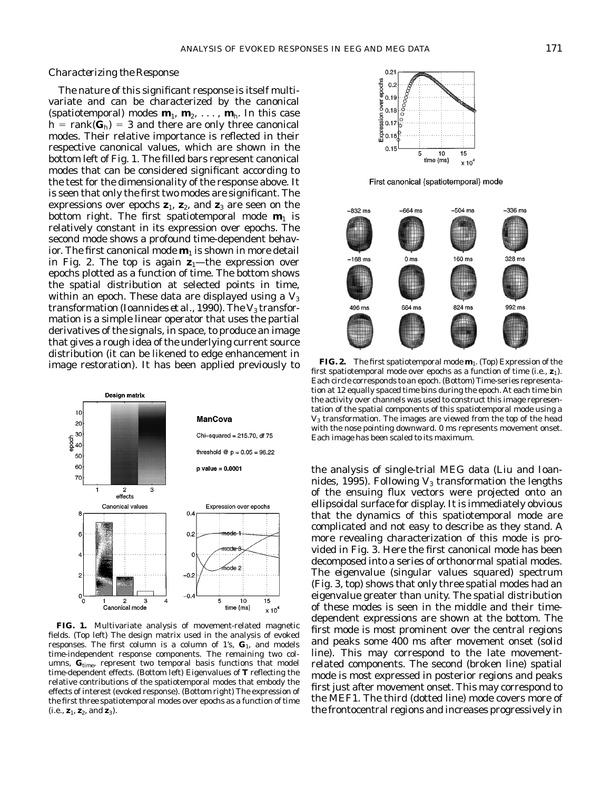## *Characterizing the Response*

The nature of this significant response is itself multivariate and can be characterized by the canonical (spatiotemporal) modes  $\mathbf{m}_1$ ,  $\mathbf{m}_2$ , ...,  $\mathbf{m}_h$ . In this case  $h = \text{rank}(\mathbf{G}_h) = 3$  and there are only three canonical modes. Their relative importance is reflected in their respective canonical values, which are shown in the bottom left of Fig. 1. The filled bars represent canonical modes that can be considered significant according to the test for the dimensionality of the response above. It is seen that only the first two modes are significant. The expressions over epochs  $z_1$ ,  $z_2$ , and  $z_3$  are seen on the bottom right. The first spatiotemporal mode  $\mathbf{m}_1$  is relatively constant in its expression over epochs. The second mode shows a profound time-dependent behavior. The first canonical mode  $\mathbf{m}_1$  is shown in more detail in Fig. 2. The top is again  $z_1$ —the expression over epochs plotted as a function of time. The bottom shows the spatial distribution at selected points in time, within an epoch. These data are displayed using a  $V_3$ transformation (Ioannides *et al.*, 1990). The V<sub>3</sub> transformation is a simple linear operator that uses the partial derivatives of the signals, in space, to produce an image that gives a rough idea of the underlying current source distribution (it can be likened to edge enhancement in image restoration). It has been applied previously to



**FIG. 1.** Multivariate analysis of movement-related magnetic fields. (Top left) The design matrix used in the analysis of evoked responses. The first column is a column of 1's,  $G_1$ , and models time-independent response components. The remaining two columns, G<sub>time</sub>, represent two temporal basis functions that model time-dependent effects. (Bottom left) Eigenvalues of **T** reflecting the relative contributions of the spatiotemporal modes that embody the effects of interest (evoked response). (Bottom right) The expression of the first three spatiotemporal modes over epochs as a function of time  $(i.e., **z**<sub>1</sub>, **z**<sub>2</sub>, and **z**<sub>3</sub>).$ 







**FIG. 2.** The first spatiotemporal mode  $m_1$ . (Top) Expression of the first spatiotemporal mode over epochs as a function of time (i.e., **z**1). Each circle corresponds to an epoch. (Bottom) Time-series representation at 12 equally spaced time bins during the epoch. At each time bin the activity over channels was used to construct this image representation of the spatial components of this spatiotemporal mode using a V3 transformation. The images are viewed from the top of the head with the nose pointing downward. 0 ms represents movement onset. Each image has been scaled to its maximum.

the analysis of single-trial MEG data (Liu and Ioannides, 1995). Following  $V_3$  transformation the lengths of the ensuing flux vectors were projected onto an ellipsoidal surface for display. It is immediately obvious that the dynamics of this spatiotemporal mode are complicated and not easy to describe as they stand. A more revealing characterization of this mode is provided in Fig. 3. Here the first canonical mode has been decomposed into a series of orthonormal spatial modes. The eigenvalue (singular values squared) spectrum (Fig. 3, top) shows that only three spatial modes had an eigenvalue greater than unity. The spatial distribution of these modes is seen in the middle and their timedependent expressions are shown at the bottom. The first mode is most prominent over the central regions and peaks some 400 ms after movement onset (solid line). This may correspond to the late movementrelated components. The second (broken line) spatial mode is most expressed in posterior regions and peaks first just after movement onset. This may correspond to the MEF1. The third (dotted line) mode covers more of the frontocentral regions and increases progressively in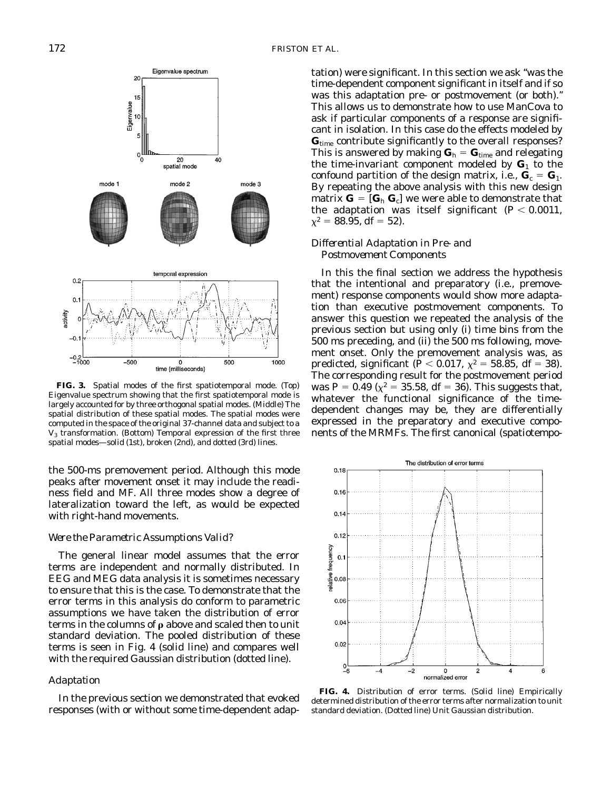

**FIG. 3.** Spatial modes of the first spatiotemporal mode. (Top) Eigenvalue spectrum showing that the first spatiotemporal mode is largely accounted for by three orthogonal spatial modes. (Middle) The spatial distribution of these spatial modes. The spatial modes were computed in the space of the original 37-channel data and subject to a V3 transformation. (Bottom) Temporal expression of the first three spatial modes—solid (1st), broken (2nd), and dotted (3rd) lines.

the 500-ms premovement period. Although this mode peaks after movement onset it may include the readiness field and MF. All three modes show a degree of lateralization toward the left, as would be expected with right-hand movements.

#### *Were the Parametric Assumptions Valid?*

The general linear model assumes that the error terms are independent and normally distributed. In EEG and MEG data analysis it is sometimes necessary to ensure that this is the case. To demonstrate that the error terms in this analysis do conform to parametric assumptions we have taken the distribution of error terms in the columns of  $\rho$  above and scaled then to unit standard deviation. The pooled distribution of these terms is seen in Fig. 4 (solid line) and compares well with the required Gaussian distribution (dotted line).

#### *Adaptation*

In the previous section we demonstrated that evoked responses (with or without some time-dependent adaptation) were significant. In this section we ask ''was the time-dependent component significant in itself and if so was this adaptation pre- or postmovement (or both).'' This allows us to demonstrate how to use ManCova to ask if particular components of a response are significant in isolation. In this case do the effects modeled by G<sub>time</sub> contribute significantly to the overall responses? This is answered by making  $G_h = G_{time}$  and relegating the time-invariant component modeled by  $G_1$  to the confound partition of the design matrix, i.e.,  $\mathbf{G}_c = \mathbf{G}_1$ . By repeating the above analysis with this new design matrix  $G = [G_h G_c]$  we were able to demonstrate that the adaptation was itself significant  $(P < 0.0011,$  $\chi^2 = 88.95, df = 52$ .

## *Differential Adaptation in Pre- and Postmovement Components*

In this the final section we address the hypothesis that the intentional and preparatory (i.e., premovement) response components would show more adaptation than executive postmovement components. To answer this question we repeated the analysis of the previous section but using only (i) time bins from the 500 ms preceding, and (ii) the 500 ms following, movement onset. Only the premovement analysis was, as predicted, significant (*P* < 0.017,  $\chi^2$  = 58.85, *df* = 38). The corresponding result for the postmovement period was  $P = 0.49$  ( $\chi^2 = 35.58$ ,  $df = 36$ ). This suggests that, whatever the functional significance of the timedependent changes may be, they are differentially expressed in the preparatory and executive components of the MRMFs. The first canonical (spatiotempo-



**FIG. 4.** Distribution of error terms. (Solid line) Empirically determined distribution of the error terms after normalization to unit standard deviation. (Dotted line) Unit Gaussian distribution.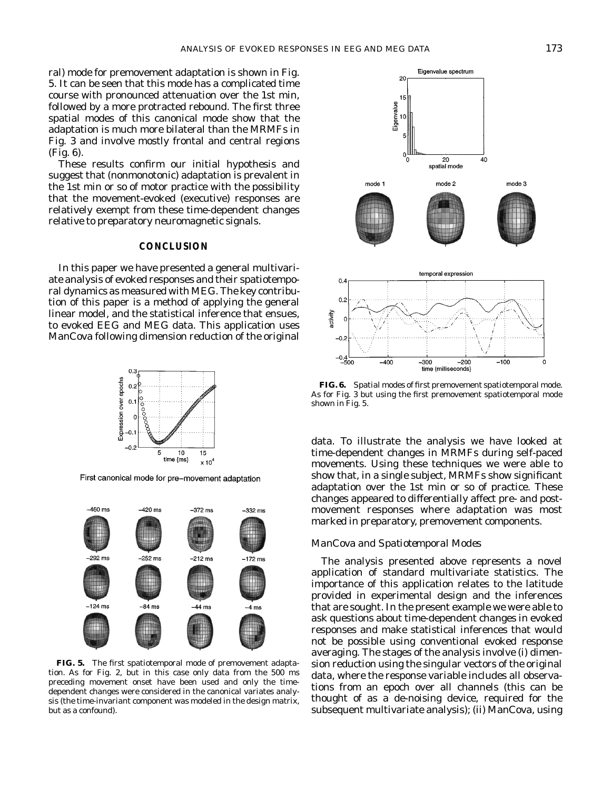ral) mode for premovement adaptation is shown in Fig. 5. It can be seen that this mode has a complicated time course with pronounced attenuation over the 1st min, followed by a more protracted rebound. The first three spatial modes of this canonical mode show that the adaptation is much more bilateral than the MRMFs in Fig. 3 and involve mostly frontal and central regions (Fig. 6).

These results confirm our initial hypothesis and suggest that (nonmonotonic) adaptation is prevalent in the 1st min or so of motor practice with the possibility that the movement-evoked (executive) responses are relatively exempt from these time-dependent changes relative to preparatory neuromagnetic signals.

# **CONCLUSION**

In this paper we have presented a general multivariate analysis of evoked responses and their spatiotemporal dynamics as measured with MEG. The key contribution of this paper is a method of applying the general linear model, and the statistical inference that ensues, to evoked EEG and MEG data. This application uses ManCova following dimension reduction of the original



First canonical mode for pre-movement adaptation



**FIG. 5.** The first spatiotemporal mode of premovement adaptation. As for Fig. 2, but in this case only data from the 500 ms preceding movement onset have been used and only the timedependent changes were considered in the canonical variates analysis (the time-invariant component was modeled in the design matrix, but as a confound).



**FIG. 6.** Spatial modes of first premovement spatiotemporal mode. As for Fig. 3 but using the first premovement spatiotemporal mode shown in Fig. 5.

data. To illustrate the analysis we have looked at time-dependent changes in MRMFs during self-paced movements. Using these techniques we were able to show that, in a single subject, MRMFs show significant adaptation over the 1st min or so of practice. These changes appeared to differentially affect pre- and postmovement responses where adaptation was most marked in preparatory, premovement components.

#### *ManCova and Spatiotemporal Modes*

The analysis presented above represents a novel application of standard multivariate statistics. The importance of this application relates to the latitude provided in experimental design and the inferences that are sought. In the present example we were able to ask questions about time-dependent changes in evoked responses and make statistical inferences that would not be possible using conventional evoked response averaging. The stages of the analysis involve (i) dimension reduction using the singular vectors of the original data, where the response variable includes all observations from an epoch over all channels (this can be thought of as a de-noising device, required for the subsequent multivariate analysis); (ii) ManCova, using